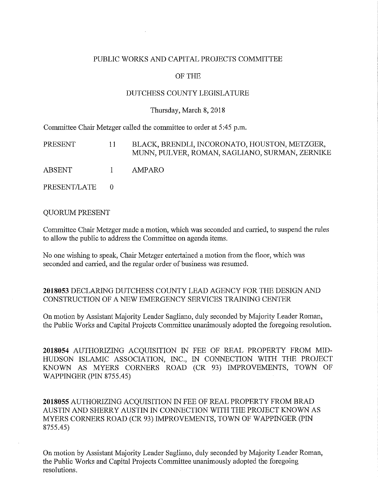### PUBLIC WORKS AND CAPITAL PROJECTS COMMITTEE

### OF THE

### DUTCHESS COUNTY LEGISLATURE

#### Thursday, March 8, 2018

Committee Chair Metzger called the committee to order at 5:45 p.m.

| PRESENT      | $\mathbf{11}$ | BLACK, BRENDLI, INCORONATO, HOUSTON, METZGER,<br>MUNN, PULVER, ROMAN, SAGLIANO, SURMAN, ZERNIKE |
|--------------|---------------|-------------------------------------------------------------------------------------------------|
| ABSENT       | $\sim$ 1      | AMPARO.                                                                                         |
| PRESENT/LATE | - 0           |                                                                                                 |

#### QUORUM PRESENT

Committee Chair Metzger made a motion, which was seconded and carried, to suspend the rules to allow the public to address the Committee on agenda items.

No one wishing to speak, Chair Metzger entertained a motion from the floor, which was seconded and carried, and the regular order of business was resumed.

### **2018053** DECLARING DUTCHESS COUNTY LEAD AGENCY FOR THE DESIGN AND CONSTRUCTION OF A NEW EMERGENCY SERVICES TRAINING CENTER

On motion by Assistant Majority Leader Sagliano, duly seconded by Majority Leader Roman, the Public Works and Capital Projects Committee unanimously adopted the foregoing resolution.

**2018054** AUTHORIZING ACQUISITION IN FEE OF REAL PROPERTY FROM MID-HUDSON ISLAMIC ASSOCIATION, INC., IN CONNECTION WITH THE PROJECT KNOWN AS MYERS CORNERS ROAD (CR 93) IMPROVEMENTS, TOWN OF WAPPINGER (PIN 8755.45)

**2018055** AUTHORIZING ACQUISITION IN FEE OF REAL PROPERTY FROM BRAD AUSTIN AND SHERRY AUSTIN IN CONNECTION WITH THE PROJECT KNOWN AS MYERS CORNERS ROAD (CR 93) IMPROVEMENTS, TOWN OF WAPPINGER (PIN 8755.45)

On motion by Assistant Majority Leader Sagliano, duly seconded by Majority Leader Roman, the Public Works and Capital Projects Committee unanimously adopted the foregoing resolutions.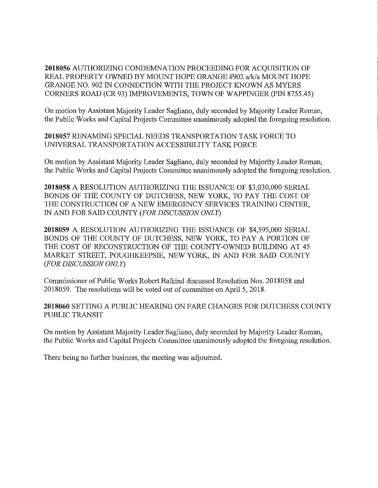**2018056** AUTHORIZING CONDEMNATION PROCEEDING FOR ACQUISITION OF REAL PROPERTY OWNED BY MOUNT HOPE GRANGE #902 a/k/a MOUNT HOPE GRANGE NO. 902 IN CONNECTION WITH THE PROJECT KNOWN AS MYERS CORNERS ROAD (CR 93) IMPROVEMENTS, TOWN OF WAPPINGER (PIN 8755.45)

On motion by Assistant Majority Leader Sagliano, duly seconded by Majority Leader Roman, the Public Works and Capital Projects Committee unanimously adopted the foregoing resolution.

**2018057** RENAMING SPECIAL NEEDS TRANSPORTATION TASK FORCE TO UNIVERSAL TRANSPORTATION ACCESSIBILITY TASK FORCE

On motion by Assistant Majority Leader Sagliano, duly seconded by Majority Leader Roman, the Public Works and Capital Projects Committee unanimously adopted the foregoing resolution.

**2018058** A RESOLUTION AUTHORIZING THE ISSUANCE OF \$3,030,000 SERIAL BONDS OF THE COUNTY OF DUTCHESS, NEW YORK, TO PAY THE COST OF THE CONSTRUCTION OF A NEW EMERGENCY SERVICES TRAINING CENTER, IN AND FOR SAID COUNTY *(FOR DISCUSSION ONLY)* 

**2018059** A RESOLUTION AUTHORIZING THE ISSUANCE OF \$4,595,000 SERIAL BONDS OF THE COUNTY OF DUTCHESS, NEW YORK, TO PAY A PORTION OF THE COST OF RECONSTRUCTION OF THE COUNTY-OWNED BUILDING AT 45 MARKET STREET, POUGHKEEPSIE, NEW YORK, IN AND FOR SAID COUNTY *(FOR DISCUSSION ONLY)* 

Commissioner of Public Works Robert Balkind discussed Resolution Nos. 2018058 and 2018059. The resolutions will be voted out of committee on April 5, 2018.

**2018060** SETTING A PUBLIC HEARING ON FARE CHANGES FOR DUTCHESS COUNTY PUBLIC TRANSIT

On motion by Assistant Majority Leader Sagliano, duly seconded by Majority Leader Roman, the Public Works and Capital Projects Committee unanimously adopted the foregoing resolution.

There being no further business, the meeting was adjourned.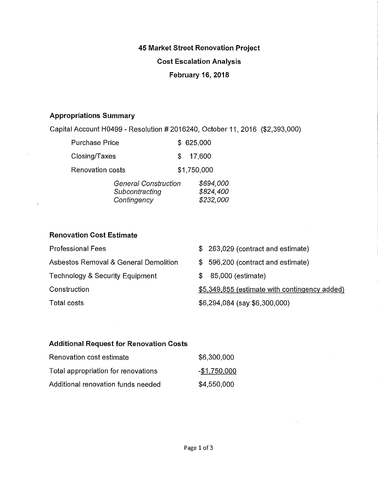## **45 Market Street Renovation Project**

## **Cost Escalation Analysis**

## **February 16, 2018**

## **Appropriations Summary**

 $\lambda$ 

 $\bar{1}$ 

Capital Account H0499 - Resolution # 2016240, October 11, 2016 (\$2,393,000)

| Purchase Price   |                                                              |    | \$625,000                           |
|------------------|--------------------------------------------------------------|----|-------------------------------------|
| Closing/Taxes    |                                                              | £. | 17,600                              |
| Renovation costs |                                                              |    | \$1,750,000                         |
|                  | <b>General Construction</b><br>Subcontracting<br>Contingency |    | \$694,000<br>\$824,400<br>\$232,000 |

### **Renovation Cost Estimate**

| <b>Professional Fees</b>                   | $$263,029$ (contract and estimate)            |
|--------------------------------------------|-----------------------------------------------|
| Asbestos Removal & General Demolition      | \$596,200 (contract and estimate)             |
| <b>Technology &amp; Security Equipment</b> | 85,000 (estimate)<br>\$.                      |
| Construction                               | \$5,349,855 (estimate with contingency added) |
| Total costs                                | \$6,294,084 (say \$6,300,000)                 |
|                                            |                                               |

## **Additional Request for Renovation Costs**

| Renovation cost estimate            | \$6,300,000   |
|-------------------------------------|---------------|
| Total appropriation for renovations | $-$1,750,000$ |
| Additional renovation funds needed  | \$4,550,000   |

 $\mathcal{F}_{\text{int}}$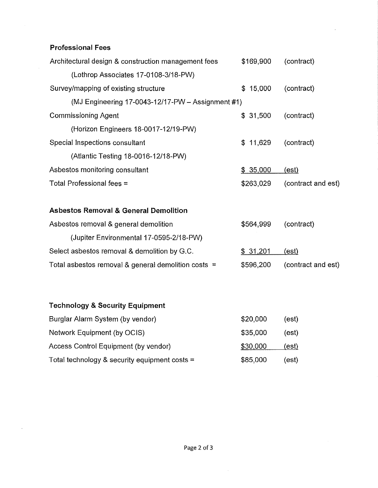# **Professional Fees**

| Architectural design & construction management fees | \$169,900 | (contract)         |
|-----------------------------------------------------|-----------|--------------------|
| (Lothrop Associates 17-0108-3/18-PW)                |           |                    |
| Survey/mapping of existing structure                | \$15,000  | (contract)         |
| (MJ Engineering 17-0043-12/17-PW $-$ Assignment #1) |           |                    |
| <b>Commissioning Agent</b>                          | \$31,500  | (contract)         |
| (Horizon Engineers 18-0017-12/19-PW)                |           |                    |
| Special Inspections consultant                      | \$11,629  | (contract)         |
| (Atlantic Testing 18-0016-12/18-PW)                 |           |                    |
| Asbestos monitoring consultant                      | \$35,000  | (est)              |
| Total Professional fees =                           | \$263,029 | (contract and est) |

# **Asbestos Removal & General Demolition**

| Asbestos removal & general demolition                 | \$564,999 | (contract)         |  |
|-------------------------------------------------------|-----------|--------------------|--|
| (Jupiter Environmental 17-0595-2/18-PW)               |           |                    |  |
| Select asbestos removal & demolition by G.C.          | \$31,201  | (est)              |  |
| Total asbestos removal & general demolition costs $=$ | \$596,200 | (contract and est) |  |

(est)

(est)

#### **Technology & Security Equipment**  Burglar Alarm System (by vendor) Network Equipment (by OCIS) \$20,000 \$35,000

| Access Control Equipment (by vendor)            | \$30,000 | <u>(est)</u> |
|-------------------------------------------------|----------|--------------|
| Total technology & security equipment costs $=$ | \$85,000 | (est)        |